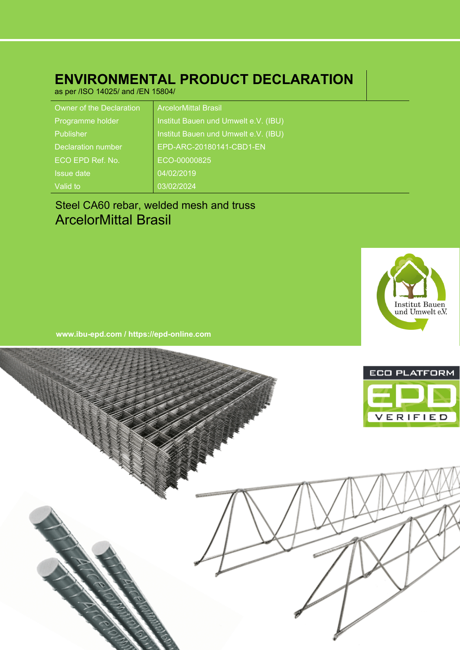# **ENVIRONMENTAL PRODUCT DECLARATION**

as per /ISO 14025/ and /EN 15804/

| Owner of the Declaration  | <b>ArcelorMittal Brasil</b>          |
|---------------------------|--------------------------------------|
| Programme holder          | Institut Bauen und Umwelt e.V. (IBU) |
| Publisher                 | Institut Bauen und Umwelt e.V. (IBU) |
| <b>Declaration number</b> | EPD-ARC-20180141-CBD1-EN             |
| ECO EPD Ref. No.          | ECO-00000825                         |
| <b>Issue date</b>         | 04/02/2019                           |
| Valid to                  | 03/02/2024                           |

# Steel CA60 rebar, welded mesh and truss ArcelorMittal Brasil



**www.ibu-epd.com / https://epd-online.com**

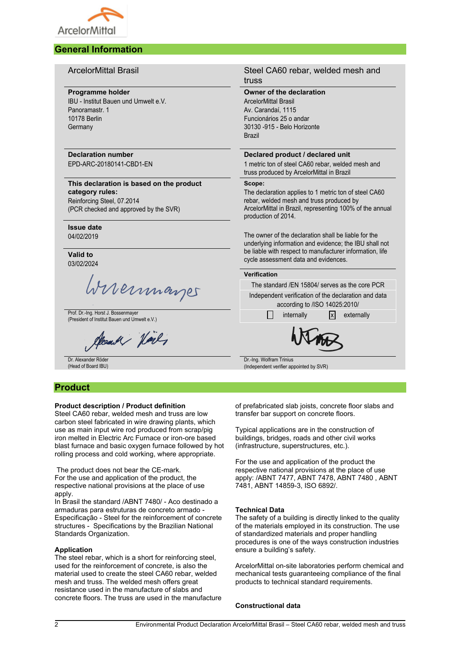

# **General Information**

# **Programme holder**

IBU - Institut Bauen und Umwelt e.V. Panoramastr. 1 10178 Berlin **Germany** 

# **Declaration number** EPD-ARC-20180141-CBD1-EN

# **This declaration is based on the product category rules:**

Reinforcing Steel, 07.2014 (PCR checked and approved by the SVR)

#### **Issue date** 04/02/2019

**Valid to** 03/02/2024

Wireinmarges

Prof. Dr.-Ing. Horst J. Bossenmayer Prof. Dr.-Ing. Horst J. Bossenmayer<br>(President of Institut Bauen und Umwelt e.V.) internally internally internally x externally

Cloudy Noil,

Dr. Alexander Röder (Head of Board IBU)

# **Product**

# **Product description / Product definition**

Steel CA60 rebar, welded mesh and truss are low carbon steel fabricated in wire drawing plants, which use as main input wire rod produced from scrap/pig iron melted in Electric Arc Furnace or iron-ore based blast furnace and basic oxygen furnace followed by hot rolling process and cold working, where appropriate.

The product does not bear the CE-mark. For the use and application of the product, the respective national provisions at the place of use apply.

In Brasil the standard /ABNT 7480/ - Aco destinado a armaduras para estruturas de concreto armado - Especificação - Steel for the reinforcement of concrete structures - Specifications by the Brazilian National Standards Organization.

# **Application**

The steel rebar, which is a short for reinforcing steel, used for the reinforcement of concrete, is also the material used to create the steel CA60 rebar, welded mesh and truss. The welded mesh offers great resistance used in the manufacture of slabs and concrete floors. The truss are used in the manufacture

# ArcelorMittal Brasil Steel CA60 rebar, welded mesh and truss

# **Owner of the declaration**

ArcelorMittal Brasil Av. Carandaí, 1115 Funcionários 25 o andar 30130 -915 - Belo Horizonte Brazil

# **Declared product / declared unit**

1 metric ton of steel CA60 rebar, welded mesh and truss produced by ArcelorMittal in Brazil

# **Scope:**

The declaration applies to 1 metric ton of steel CA60 rebar, welded mesh and truss produced by ArcelorMittal in Brazil, representing 100% of the annual production of 2014.

The owner of the declaration shall be liable for the underlying information and evidence; the IBU shall not be liable with respect to manufacturer information, life cycle assessment data and evidences.

# **Verification**

The standard /EN 15804/ serves as the core PCR Independent verification of the declaration and data

according to /ISO 14025:2010/



Dr.-Ing. Wolfram Trinius (Independent verifier appointed by SVR)

of prefabricated slab joists, concrete floor slabs and transfer bar support on concrete floors.

Typical applications are in the construction of buildings, bridges, roads and other civil works (infrastructure, superstructures, etc.).

For the use and application of the product the respective national provisions at the place of use apply: /ABNT 7477, ABNT 7478, ABNT 7480 , ABNT 7481, ABNT 14859-3, ISO 6892/.

# **Technical Data**

The safety of a building is directly linked to the quality of the materials employed in its construction. The use of standardized materials and proper handling procedures is one of the ways construction industries ensure a building's safety.

ArcelorMittal on-site laboratories perform chemical and mechanical tests guaranteeing compliance of the final products to technical standard requirements.

# **Constructional data**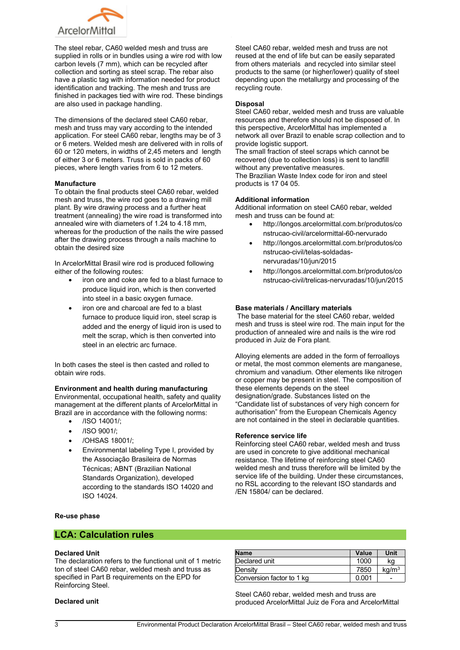

The steel rebar, CA60 welded mesh and truss are supplied in rolls or in bundles using a wire rod with low carbon levels (7 mm), which can be recycled after collection and sorting as steel scrap. The rebar also have a plastic tag with information needed for product identification and tracking. The mesh and truss are finished in packages tied with wire rod. These bindings are also used in package handling.

The dimensions of the declared steel CA60 rebar, mesh and truss may vary according to the intended application. For steel CA60 rebar, lengths may be of 3 or 6 meters. Welded mesh are delivered with in rolls of 60 or 120 meters, in widths of 2,45 meters and length of either 3 or 6 meters. Truss is sold in packs of 60 pieces, where length varies from 6 to 12 meters.

# **Manufacture**

To obtain the final products steel CA60 rebar, welded mesh and truss, the wire rod goes to a drawing mill plant. By wire drawing process and a further heat treatment (annealing) the wire road is transformed into annealed wire with diameters of 1.24 to 4.18 mm, whereas for the production of the nails the wire passed after the drawing process through a nails machine to obtain the desired size

In ArcelorMittal Brasil wire rod is produced following either of the following routes:

- iron ore and coke are fed to a blast furnace to produce liquid iron, which is then converted into steel in a basic oxygen furnace.
- iron ore and charcoal are fed to a blast furnace to produce liquid iron, steel scrap is added and the energy of liquid iron is used to melt the scrap, which is then converted into steel in an electric arc furnace.

In both cases the steel is then casted and rolled to obtain wire rods.

# **Environment and health during manufacturing**

Environmental, occupational health, safety and quality management at the different plants of ArcelorMittal in Brazil are in accordance with the following norms:

- /ISO 14001/;
- /ISO 9001/;
- /OHSAS 18001/;
- Environmental labeling Type I, provided by the Associação Brasileira de Normas Técnicas; ABNT (Brazilian National Standards Organization), developed according to the standards ISO 14020 and ISO 14024.

Steel CA60 rebar, welded mesh and truss are not reused at the end of life but can be easily separated from others materials and recycled into similar steel products to the same (or higher/lower) quality of steel depending upon the metallurgy and processing of the recycling route.

# **Disposal**

Steel CA60 rebar, welded mesh and truss are valuable resources and therefore should not be disposed of. In this perspective, ArcelorMittal has implemented a network all over Brazil to enable scrap collection and to provide logistic support.

The small fraction of steel scraps which cannot be recovered (due to collection loss) is sent to landfill without any preventative measures. The Brazilian Waste Index code for iron and steel products is 17 04 05.

# **Additional information**

Additional information on steel CA60 rebar, welded mesh and truss can be found at:

- http://longos.arcelormittal.com.br/produtos/co nstrucao-civil/arcelormittal-60-nervurado
- http://longos.arcelormittal.com.br/produtos/co nstrucao-civil/telas-soldadasnervuradas/10/jun/2015
- http://longos.arcelormittal.com.br/produtos/co nstrucao-civil/trelicas-nervuradas/10/jun/2015

# **Base materials / Ancillary materials**

The base material for the steel CA60 rebar, welded mesh and truss is steel wire rod. The main input for the production of annealed wire and nails is the wire rod produced in Juiz de Fora plant.

Alloying elements are added in the form of ferroalloys or metal, the most common elements are manganese, chromium and vanadium. Other elements like nitrogen or copper may be present in steel. The composition of these elements depends on the steel designation/grade. Substances listed on the "Candidate list of substances of very high concern for authorisation" from the European Chemicals Agency are not contained in the steel in declarable quantities.

# **Reference service life**

Reinforcing steel CA60 rebar, welded mesh and truss are used in concrete to give additional mechanical resistance. The lifetime of reinforcing steel CA60 welded mesh and truss therefore will be limited by the service life of the building. Under these circumstances, no RSL according to the relevant ISO standards and /EN 15804/ can be declared.

# **Re-use phase**

# **LCA: Calculation rules**

# **Declared Unit**

The declaration refers to the functional unit of 1 metric ton of steel CA60 rebar, welded mesh and truss as specified in Part B requirements on the EPD for Reinforcing Steel.

# **Declared unit**

| <b>Name</b>               | Value | Unit            |
|---------------------------|-------|-----------------|
| Declared unit             | 1000  | ka              |
| Density                   | 7850  | $\text{ka/m}^3$ |
| Conversion factor to 1 kg | 0.001 |                 |

Steel CA60 rebar, welded mesh and truss are produced ArcelorMittal Juiz de Fora and ArcelorMittal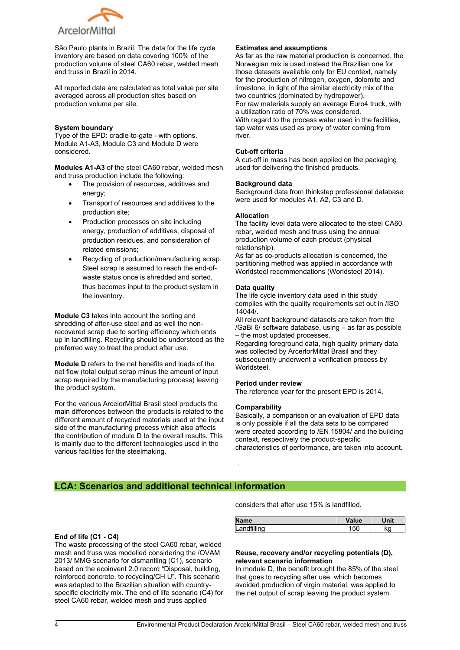

São Paulo plants in Brazil. The data for the life cycle inventory are based on data covering 100% of the production volume of steel CA60 rebar, welded mesh and truss in Brazil in 2014.

All reported data are calculated as total value per site averaged across all production sites based on production volume per site.

## **System boundary**

Type of the EPD: cradle-to-gate - with options. Module A1-A3, Module C3 and Module D were considered.

**Modules A1-A3** of the steel CA60 rebar, welded mesh and truss production include the following:

- The provision of resources, additives and energy:
- Transport of resources and additives to the production site;
- Production processes on site including energy, production of additives, disposal of production residues, and consideration of related emissions;
- Recycling of production/manufacturing scrap. Steel scrap is assumed to reach the end-ofwaste status once is shredded and sorted, thus becomes input to the product system in the inventory.

**Module C3** takes into account the sorting and shredding of after-use steel and as well the nonrecovered scrap due to sorting efficiency which ends up in landfilling. Recycling should be understood as the preferred way to treat the product after use.

**Module D** refers to the net benefits and loads of the net flow (total output scrap minus the amount of input scrap required by the manufacturing process) leaving the product system.

For the various ArcelorMittal Brasil steel products the main differences between the products is related to the different amount of recycled materials used at the input side of the manufacturing process which also affects the contribution of module D to the overall results. This is mainly due to the different technologies used in the various facilities for the steelmaking.

# **Estimates and assumptions**

As far as the raw material production is concerned, the Norwegian mix is used instead the Brazilian one for those datasets available only for EU context, namely for the production of nitrogen, oxygen, dolomite and limestone, in light of the similar electricity mix of the two countries (dominated by hydropower). For raw materials supply an average Euro4 truck, with a utilization ratio of 70% was considered. With regard to the process water used in the facilities, tap water was used as proxy of water coming from river.

## **Cut-off criteria**

A cut-off in mass has been applied on the packaging used for delivering the finished products.

#### **Background data**

Background data from thinkstep professional database were used for modules A1, A2, C3 and D.

# **Allocation**

The facility level data were allocated to the steel CA60 rebar, welded mesh and truss using the annual production volume of each product (physical .<br>relationship).

As far as co-products allocation is concerned, the partitioning method was applied in accordance with Worldsteel recommendations (Worldsteel 2014).

# **Data quality**

The life cycle inventory data used in this study complies with the quality requirements set out in /ISO 14044/.

All relevant background datasets are taken from the /GaBi 6/ software database, using – as far as possible – the most updated processes.

Regarding foreground data, high quality primary data was collected by ArcerlorMittal Brasil and they subsequently underwent a verification process by Worldsteel.

## **Period under review**

The reference year for the present EPD is 2014.

#### **Comparability**

.

Basically, a comparison or an evaluation of EPD data is only possible if all the data sets to be compared were created according to /EN 15804/ and the building context, respectively the product-specific characteristics of performance, are taken into account.

# **LCA: Scenarios and additional technical information**

considers that after use 15% is landfilled.

| <b>Name</b> | Value | Unit                  |
|-------------|-------|-----------------------|
| Landfilling | 50    | $\tilde{\phantom{a}}$ |

# **Reuse, recovery and/or recycling potentials (D), relevant scenario information**

In module D, the benefit brought the 85% of the steel that goes to recycling after use, which becomes avoided production of virgin material, was applied to the net output of scrap leaving the product system.

#### **End of life (C1 - C4)**

The waste processing of the steel CA60 rebar, welded mesh and truss was modelled considering the /OVAM 2013/ MMG scenario for dismantling (C1), scenario based on the ecoinvent 2.0 record "Disposal, building, reinforced concrete, to recycling/CH U". This scenario was adapted to the Brazilian situation with countryspecific electricity mix. The end of life scenario (C4) for steel CA60 rebar, welded mesh and truss applied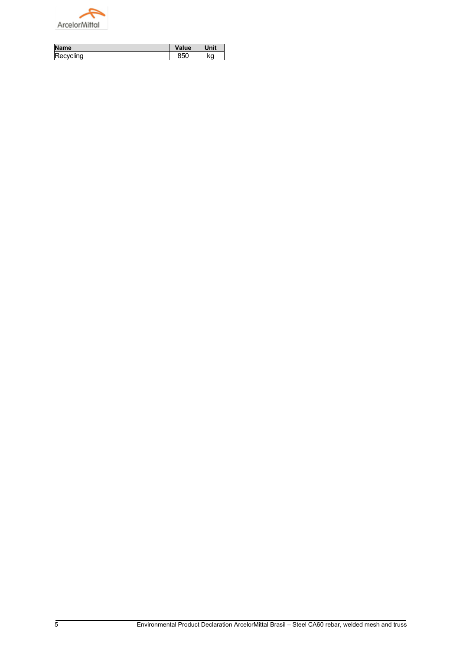

| Name      | Value | nit |
|-----------|-------|-----|
| Recycling |       | ĸa  |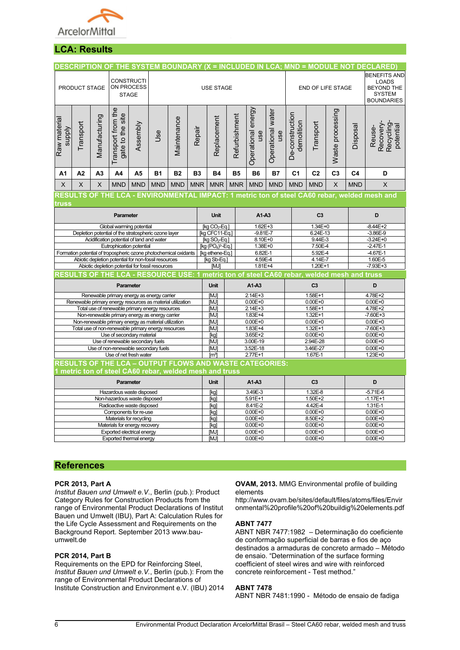

# **LCA: Results**

|                                                                                  |                                                                                                        |                |                                        |                                                 |                                                                                                          |                      |             |                                                                                            |               |                           |                          |                               |                |                  |                             | DESCRIPTION OF THE SYSTEM BOUNDARY (X = INCLUDED IN LCA; MND = MODULE NOT DECLARED             |  |
|----------------------------------------------------------------------------------|--------------------------------------------------------------------------------------------------------|----------------|----------------------------------------|-------------------------------------------------|----------------------------------------------------------------------------------------------------------|----------------------|-------------|--------------------------------------------------------------------------------------------|---------------|---------------------------|--------------------------|-------------------------------|----------------|------------------|-----------------------------|------------------------------------------------------------------------------------------------|--|
|                                                                                  | PRODUCT STAGE                                                                                          |                |                                        | <b>CONSTRUCTI</b><br>ON PROCESS<br><b>STAGE</b> |                                                                                                          |                      |             | <b>USE STAGE</b>                                                                           |               |                           |                          | END OF LIFE STAGE             |                |                  |                             | <b>BENEFITS AND</b><br><b>LOADS</b><br><b>BEYOND THE</b><br><b>SYSTEM</b><br><b>BOUNDARIES</b> |  |
| Raw material<br><b>supply</b>                                                    | Transport                                                                                              | Manufacturing  | Transport from the<br>gate to the site | Assembly                                        | Jse                                                                                                      | Maintenance          | Repair      | Replacement                                                                                | Refurbishment | Operational energy<br>use | Operational water<br>use | De-construction<br>demolition | Transport      | Waste processing | Disposal                    | Recovery-<br>Recycling<br>potential<br>Reuse-                                                  |  |
| A1                                                                               | A2                                                                                                     | A <sub>3</sub> | A4                                     | A5                                              | <b>B1</b>                                                                                                | <b>B2</b>            | <b>B3</b>   | <b>B4</b>                                                                                  | <b>B5</b>     | <b>B6</b>                 | <b>B7</b>                | C <sub>1</sub>                | C <sub>2</sub> | C <sub>3</sub>   | C <sub>4</sub>              | D                                                                                              |  |
| $\mathsf{X}$                                                                     | X                                                                                                      | $\sf X$        | <b>MND</b>                             | <b>MND</b>                                      | <b>MND</b>                                                                                               | <b>MND</b>           | <b>MNR</b>  | <b>MNR</b>                                                                                 | <b>MNR</b>    | <b>MND</b>                | <b>MND</b>               | <b>MND</b>                    | <b>MND</b>     | $\times$         | <b>MND</b>                  | $\mathsf X$                                                                                    |  |
| truss                                                                            | RESULTS OF THE LCA - ENVIRONMENTAL IMPACT: 1 metric ton of steel CA60 rebar, welded mesh and           |                |                                        |                                                 |                                                                                                          |                      |             |                                                                                            |               |                           |                          |                               |                |                  |                             |                                                                                                |  |
|                                                                                  |                                                                                                        |                | Parameter                              |                                                 |                                                                                                          |                      |             | <b>Unit</b>                                                                                |               | A1-A3                     |                          | C <sub>3</sub>                |                |                  | D                           |                                                                                                |  |
|                                                                                  |                                                                                                        |                |                                        | Global warming potential                        |                                                                                                          |                      |             | [kg CO <sub>2</sub> -Eq.]<br>$1.62E + 3$                                                   |               |                           | $1.34E + 0$              |                               |                |                  | $-8.44E + 2$                |                                                                                                |  |
|                                                                                  |                                                                                                        |                |                                        |                                                 | Depletion potential of the stratospheric ozone layer                                                     |                      |             | [kg CFC11-Eq.]<br>$-9.81E - 7$                                                             |               |                           | 6.24E-13                 |                               |                | $-3.86E - 9$     |                             |                                                                                                |  |
|                                                                                  |                                                                                                        |                |                                        | Acidification potential of land and water       |                                                                                                          |                      |             | [kg $SO_2$ -Eq.]<br>8.10E+0                                                                |               |                           | 9.44E-3                  |                               |                | $-3.24E + 0$     |                             |                                                                                                |  |
|                                                                                  |                                                                                                        |                |                                        | Eutrophication potential                        |                                                                                                          |                      |             | $[kg (PO4)3-Eq.]$<br>1.38E+0                                                               |               |                           | 7.50E-4                  |                               |                | $-2.47E-1$       |                             |                                                                                                |  |
|                                                                                  |                                                                                                        |                |                                        |                                                 | Formation potential of tropospheric ozone photochemical oxidants                                         |                      |             | [kg ethene-Eq.]<br>6.82E-1                                                                 |               |                           | 5.92E-4                  |                               |                |                  | $-4.67E - 1$                |                                                                                                |  |
|                                                                                  |                                                                                                        |                |                                        |                                                 | Abiotic depletion potential for non-fossil resources<br>Abiotic depletion potential for fossil resources |                      |             | [kg Sb-Eq.]<br>4.59E-4<br>$1.81E + 4$<br>[MJ]                                              |               |                           | 4.14E-7<br>$1.20E+1$     |                               |                |                  | $1.60E-5$<br>$-7.93E + 3$   |                                                                                                |  |
|                                                                                  |                                                                                                        |                |                                        |                                                 |                                                                                                          |                      |             | RESULTS OF THE LCA - RESOURCE USE: 1 metric ton of steel CA60 rebar, welded mesh and truss |               |                           |                          |                               |                |                  |                             |                                                                                                |  |
| Parameter                                                                        |                                                                                                        |                |                                        |                                                 |                                                                                                          |                      | <b>Unit</b> |                                                                                            | $A1-A3$       |                           | C <sub>3</sub>           |                               |                | D                |                             |                                                                                                |  |
| Renewable primary energy as energy carrier                                       |                                                                                                        |                |                                        |                                                 |                                                                                                          |                      |             | [MJ]                                                                                       |               | $2.14E + 3$               |                          |                               | $1.58E + 1$    |                  |                             | 4.78E+2                                                                                        |  |
| Renewable primary energy resources as material utilization                       |                                                                                                        |                |                                        |                                                 |                                                                                                          |                      |             | [MJ]                                                                                       |               | $0.00E + 0$               |                          |                               | $0.00E + 0$    |                  |                             | $0.00E + 0$                                                                                    |  |
|                                                                                  |                                                                                                        |                |                                        |                                                 | Total use of renewable primary energy resources                                                          |                      |             | [MJ]                                                                                       | $2.14E + 3$   |                           |                          | $1.58E+1$                     |                |                  | $4.78E + 2$                 |                                                                                                |  |
|                                                                                  | Non-renewable primary energy as energy carrier<br>Non-renewable primary energy as material utilization |                |                                        |                                                 |                                                                                                          |                      | [MJ]        | $1.83E+4$<br>$0.00E + 0$                                                                   |               |                           |                          | 1.32E+1                       |                |                  | $-7.60E + 3$<br>$0.00E + 0$ |                                                                                                |  |
|                                                                                  |                                                                                                        |                |                                        |                                                 |                                                                                                          |                      |             | <b>MJ</b><br>1.83E+4<br><b>MJ</b>                                                          |               |                           |                          | $0.00E + 0$<br>$1.32E + 1$    |                |                  | $-7.60E + 3$                |                                                                                                |  |
| Total use of non-renewable primary energy resources<br>Use of secondary material |                                                                                                        |                |                                        |                                                 |                                                                                                          | 3.65E+2<br>[kg]      |             |                                                                                            |               | $0.00E + 0$               |                          |                               | $0.00E + 0$    |                  |                             |                                                                                                |  |
| Use of renewable secondary fuels                                                 |                                                                                                        |                |                                        |                                                 |                                                                                                          | 3.00E-19<br>[MJ]     |             |                                                                                            |               | 2.94E-28                  |                          | $0.00E + 0$                   |                |                  |                             |                                                                                                |  |
| Use of non-renewable secondary fuels                                             |                                                                                                        |                |                                        |                                                 |                                                                                                          | 3.52E-18<br>[MJ]     |             |                                                                                            |               |                           | 3.46E-27                 |                               |                | $0.00E + 0$      |                             |                                                                                                |  |
|                                                                                  |                                                                                                        |                |                                        | Use of net fresh water                          |                                                                                                          |                      |             | [m <sup>3</sup> ]                                                                          |               | $2.77E+1$                 |                          |                               | 1.67E-1        |                  |                             | $1.23E + 0$                                                                                    |  |
| <b>RESULTS OF THE LCA - OUTPUT FLOWS AND WASTE CATEGORIES:</b>                   |                                                                                                        |                |                                        |                                                 |                                                                                                          |                      |             |                                                                                            |               |                           |                          |                               |                |                  |                             |                                                                                                |  |
| metric ton of steel CA60 rebar, welded mesh and truss                            |                                                                                                        |                |                                        |                                                 |                                                                                                          |                      |             |                                                                                            |               |                           |                          |                               |                |                  |                             |                                                                                                |  |
| Parameter                                                                        |                                                                                                        |                |                                        |                                                 |                                                                                                          | A1-A3<br><b>Unit</b> |             | C <sub>3</sub>                                                                             |               |                           |                          | D                             |                |                  |                             |                                                                                                |  |
| Hazardous waste disposed                                                         |                                                                                                        |                |                                        |                                                 |                                                                                                          |                      | [kg]        |                                                                                            | 3.49E-3       |                           |                          | 1.32E-8                       |                |                  | $-5.71E-6$                  |                                                                                                |  |
| Non-hazardous waste disposed                                                     |                                                                                                        |                |                                        |                                                 |                                                                                                          |                      |             | [kg]                                                                                       |               | 5.91E+1                   |                          | 1.50E+2                       |                |                  |                             | $-1.17E + 1$                                                                                   |  |
| Radioactive waste disposed<br>Components for re-use                              |                                                                                                        |                |                                        |                                                 |                                                                                                          |                      |             | [kg]<br>[kg]                                                                               |               | 8.41E-2<br>$0.00E + 0$    |                          | 4.42E-4<br>$0.00E + 0$        |                |                  |                             | 1.31E-1<br>$0.00E + 0$                                                                         |  |
|                                                                                  |                                                                                                        |                |                                        | Materials for recycling                         |                                                                                                          |                      |             | [kg]                                                                                       |               | $0.00E + 0$               |                          |                               | 8.50E+2        |                  |                             | $0.00E + 0$                                                                                    |  |
|                                                                                  |                                                                                                        |                |                                        | Materials for energy recovery                   |                                                                                                          |                      |             | [kg]                                                                                       |               | $0.00E + 0$               |                          | $0.00E + 0$                   |                |                  |                             | $0.00E + 0$                                                                                    |  |
|                                                                                  |                                                                                                        |                |                                        | Exported electrical energy                      |                                                                                                          |                      |             | [MJ]                                                                                       | $0.00E + 0$   |                           |                          |                               | $0.00E + 0$    |                  |                             | $0.00E + 0$                                                                                    |  |
| Exported thermal energy                                                          |                                                                                                        |                |                                        |                                                 |                                                                                                          |                      |             | [MJ]                                                                                       |               | $0.00E + 0$               |                          |                               | $0.00E + 0$    |                  |                             | $0.00E + 0$                                                                                    |  |

# **References**

# **PCR 2013, Part A**

*Institut Bauen und Umwelt e.V*., Berlin (pub.): Product Category Rules for Construction Products from the range of Environmental Product Declarations of Institut Bauen und Umwelt (IBU), Part A: Calculation Rules for the Life Cycle Assessment and Requirements on the Background Report. September 2013 www.bauumwelt.de

# **PCR 2014, Part B**

Requirements on the EPD for Reinforcing Steel, *Institut Bauen und Umwelt e.V.*, Berlin (pub.): From the range of Environmental Product Declarations of Institute Construction and Environment e.V. (IBU) 2014

#### **OVAM, 2013.** MMG Environmental profile of building elements

http://www.ovam.be/sites/default/files/atoms/files/Envir onmental%20profile%20of%20buildig%20elements.pdf

# **ABNT 7477**

ABNT NBR 7477:1982 – Determinação do coeficiente de conformação superficial de barras e fios de aço destinados a armaduras de concreto armado – Método de ensaio. "Determination of the surface forming coefficient of steel wires and wire with reinforced concrete reinforcement - Test method."

# **ABNT 7478**

ABNT NBR 7481:1990 - Método de ensaio de fadiga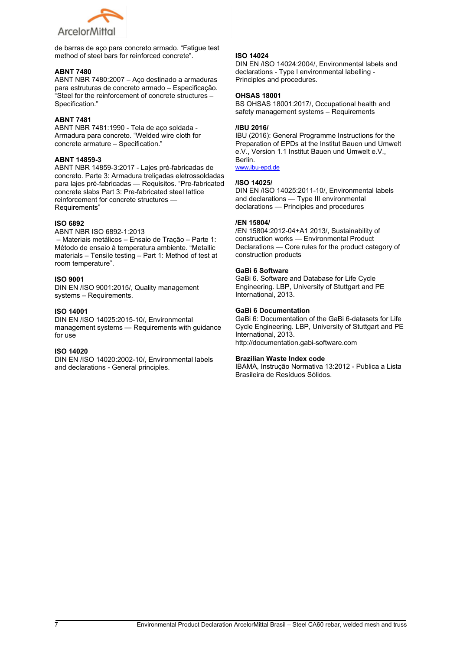$\frac{9}{10}$   $\frac{9}{10}$ ) K: (<br>% % L) ) , 1 > : 1  $\frac{1}{\#}$   $\frac{1}{\#}$   $\frac{1}{\#}$   $\frac{1}{\#}$   $\frac{1}{\#}$   $\frac{1}{\#}$   $\frac{1}{\#}$   $\frac{1}{\#}$   $\frac{1}{\#}$   $\frac{1}{\#}$   $\frac{1}{\#}$   $\frac{1}{\#}$   $\frac{1}{\#}$   $\frac{1}{\#}$   $\frac{1}{\#}$   $\frac{1}{\#}$   $\frac{1}{\#}$   $\frac{1}{\#}$   $\frac{1}{\#}$   $\frac{1}{\#}$   $\%$  $\overline{4}$  $@$  $\overline{5}$ \$  $\frac{9}{6}$  $5^{\circ}$  $\overline{\phantom{a}}$   $\overline{\phantom{a}}$   $\overline{\phantom{a}}$   $\overline{\phantom{a}}$   $\overline{\phantom{a}}$   $\overline{\phantom{a}}$   $\overline{\phantom{a}}$   $\overline{\phantom{a}}$   $\overline{\phantom{a}}$   $\overline{\phantom{a}}$   $\overline{\phantom{a}}$   $\overline{\phantom{a}}$   $\overline{\phantom{a}}$   $\overline{\phantom{a}}$   $\overline{\phantom{a}}$   $\overline{\phantom{a}}$   $\overline{\phantom{a}}$   $\overline{\phantom{a}}$   $\overline{\$  $. = 8$  $= 1 A$  $=$   $\frac{1}{6}$   $\frac{1}{6}$   $\frac{1}{6}$  6 E  $\%$  $\frac{0}{0}$  $\lambda$  $K$  " #  $\frac{1}{2}$  " %  $\frac{1}{2}$  ) L % %<br>"%% % % "% EF) E F , 5 ) , A > > , @<br>
" 8 (  $\%$ 6 4  $% %$  $\#$  $#$  $8<sup>1</sup>$  $/ H$  $+ = 1 A,$ + :>, <<br>+ 3, @ 7  $' = ' / 6 ! @ 11 = E$  $\frac{6}{\%}$   $\frac{6}{\%}$   $\frac{6}{\%}$   $\frac{6}{\%}$   $\frac{6}{\%}$   $\frac{6}{\%}$  $%$  # "  $\bar{\mathbf{u}}$  $\int\limits_{\#}$  $\%$  $#$ % %  $L$  $\mathfrak{s}$  $\binom{1}{1}$   $*$   $\binom{1}{1}$   $4$   $*$  $)$ \*) 4 + , 1 A ; B -<br>
' = '/ ! 1 . 2 @ 6 . M G J . " -<br>
% % ) 2 @ E<br>
% % - 2 @ . " - % K<br>
" % 2 @ . " - %<br>
/ H L  $\begin{pmatrix} 1 & 1 \\ 1 & 1 \\ 1 & 1 \end{pmatrix}$  $J: " \%$  $\begin{array}{cc} . & . & . & . & . \\ \$ & & \circ \ \$ & & \circ \ \& & \circ \ \& & \circ \ \& & \circ \ \& & \circ \ \& & \circ \ \& & \circ \ \& & \circ \ \& & \circ \ \& & \circ \ \& & \circ \ \& & \circ \ \& & \circ \ \& & \circ \ \& & \circ \ \& & \circ \ \& & \circ \ \& & \circ \ \& & \circ \ \& & \circ \ \& & \circ \ \& & \circ \ \& & \circ \ \& & \circ \ \& & \circ \ \& & \circ \ \& & \circ \ \& & \circ \ \& & \circ \ \& & \circ \ \& & \circ \ \& & \circ \ \& &$  $^\copyright$  $\overline{\mathbf{6}}$  $T = 8$ 5  $%$  $\%$  $\%$  $\mathsf{T}$  $\frac{0}{0}$ )  $< A B :$ <br> $' = \frac{1}{8}$ , ;  $\mathsf{A} > 1$  $- 8$  "  $3!1$  . @  $\overline{2}$  $\overline{a}$ %<br>\$%<br>% %  $=$  EF  $%$  $)$   $K8$ & J  $0T$ % % 8  $#$  $\alpha$  $\equiv$  $\lfloor$ )  $\frac{\# % +}{7}$   $\times$  & % \$<br>7 ' 3) "  $($  3)  $^{"}$  \$ - M  $^{"}$ <br>  $($  () M' 45 8  $^{"}$ <br>
4 2)  $\begin{array}{ccc} 0 & B >>, & \ 0 & 1 & \ 0 & 0 & 1 \end{array}$ 08%  $@$ 4 V 8 (  $\overline{ }$  $\lambda$  $# \% + <sup>2</sup>$ <br>7  $'$  3 @ \$ %  $\frac{1}{\sqrt{2}}$  # 7  $\sqrt{3}$ .  $\left| \begin{array}{cc} 1 & 1 \end{array} \right| > 1$  $\mathfrak{s}^{\prime}$  $M$  "  $^\copyright$  $\frac{1}{2}$  ( @ . 45<br>T/H 45  $($  8  $\begin{array}{ccccc}\n0 & 8 & 8 & 7 & 7 \\
0 & 8 & 8 & 7 & 7 \\
 & & & & 4\n\end{array}$ ()  $M'' + 5$ <br>2)  $8$  "  $($  # %  $\mathbf{r}$  $#$  $\circledR$  $\%$  $( - 1)$  $) %$ )  $, 1 > : >$  $+$  \$ % C " % ! @ %<br>
' & 4 E F 5 2 @<br>
' 4 9 W )  $@. 7 \t@. 7$  $\lambda$  $M \frac{0}{0}$  $\%$ 

 $\overline{5}$